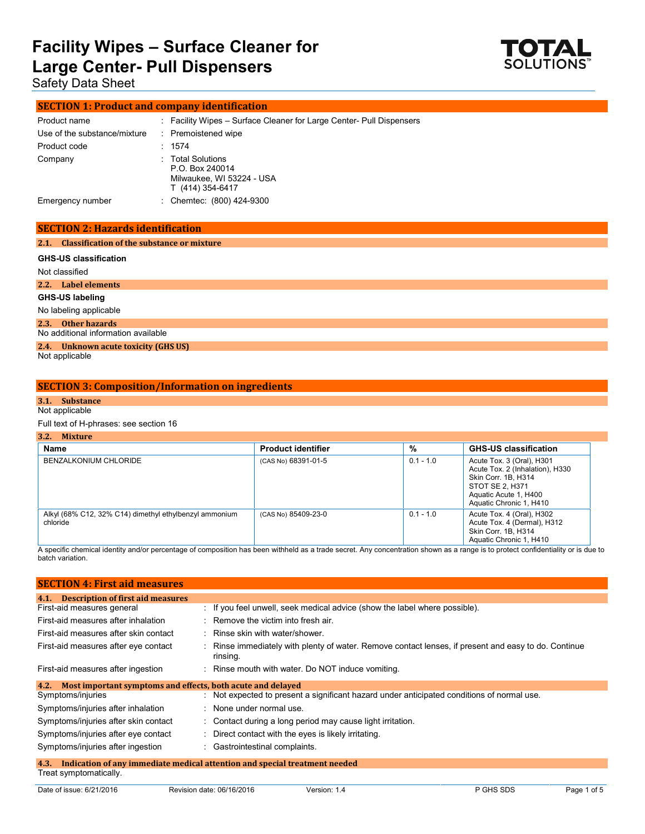

Safety Data Sheet

### **SECTION 1: Product and company identification**

| Product name                 | : Facility Wipes – Surface Cleaner for Large Center- Pull Dispensers                  |
|------------------------------|---------------------------------------------------------------------------------------|
| Use of the substance/mixture | : Premoistened wipe                                                                   |
| Product code                 | : 1574                                                                                |
| Company                      | : Total Solutions<br>P.O. Box 240014<br>Milwaukee, WI 53224 - USA<br>T (414) 354-6417 |
| Emergency number             | : Chemtec: (800) 424-9300                                                             |

### **SECTION 2: Hazards identification**

### **2.1. Classification of the substance or mixture**

| <b>GHS-US classification</b>                              |
|-----------------------------------------------------------|
| Not classified                                            |
| 2.2. Label elements                                       |
| GHS-US labeling                                           |
| No labeling applicable                                    |
| 2.3. Other hazards<br>No additional information available |
| 2.4. Unknown acute toxicity (GHS US)                      |
| Not applicable                                            |

### **SECTION 3: Composition/Information on ingredients**

### **3.1. Substance**

### Not applicable

Full text of H-phrases: see section 16

| 3.2. | Mixture |
|------|---------|
|      |         |
|      |         |

| 3.2.<br><b>Mixture</b>                                             |                           |             |                                                                                                                                                            |  |
|--------------------------------------------------------------------|---------------------------|-------------|------------------------------------------------------------------------------------------------------------------------------------------------------------|--|
| Name                                                               | <b>Product identifier</b> | %           | <b>GHS-US classification</b>                                                                                                                               |  |
| BENZALKONIUM CHLORIDE                                              | (CAS No) 68391-01-5       | $0.1 - 1.0$ | Acute Tox. 3 (Oral), H301<br>Acute Tox. 2 (Inhalation), H330<br>Skin Corr. 1B, H314<br>STOT SE 2, H371<br>Aquatic Acute 1, H400<br>Aquatic Chronic 1, H410 |  |
| Alkyl (68% C12, 32% C14) dimethyl ethylbenzyl ammonium<br>chloride | (CAS No) 85409-23-0       | $0.1 - 1.0$ | Acute Tox. 4 (Oral), H302<br>Acute Tox. 4 (Dermal), H312<br>Skin Corr. 1B, H314<br>Aquatic Chronic 1, H410                                                 |  |

A specific chemical identity and/or percentage of composition has been withheld as a trade secret. Any concentration shown as a range is to protect confidentiality or is due to batch variation.

| <b>SECTION 4: First aid measures</b>                                               |                                                                                                                |  |
|------------------------------------------------------------------------------------|----------------------------------------------------------------------------------------------------------------|--|
| <b>Description of first aid measures</b><br>4.1.                                   |                                                                                                                |  |
| First-aid measures general                                                         | $\therefore$ If you feel unwell, seek medical advice (show the label where possible).                          |  |
| First-aid measures after inhalation                                                | $\therefore$ Remove the victim into fresh air.                                                                 |  |
| First-aid measures after skin contact                                              | : Rinse skin with water/shower.                                                                                |  |
| First-aid measures after eye contact                                               | Rinse immediately with plenty of water. Remove contact lenses, if present and easy to do. Continue<br>rinsing. |  |
| First-aid measures after ingestion                                                 | : Rinse mouth with water. Do NOT induce vomiting.                                                              |  |
| Most important symptoms and effects, both acute and delayed<br>4.2.                |                                                                                                                |  |
| Symptoms/injuries                                                                  | : Not expected to present a significant hazard under anticipated conditions of normal use.                     |  |
| Symptoms/injuries after inhalation                                                 | : None under normal use.                                                                                       |  |
| Symptoms/injuries after skin contact                                               | : Contact during a long period may cause light irritation.                                                     |  |
| Symptoms/injuries after eye contact                                                | : Direct contact with the eyes is likely irritating.                                                           |  |
| Symptoms/injuries after ingestion                                                  | : Gastrointestinal complaints.                                                                                 |  |
| Indication of any immediate medical attention and special treatment needed<br>4.3. |                                                                                                                |  |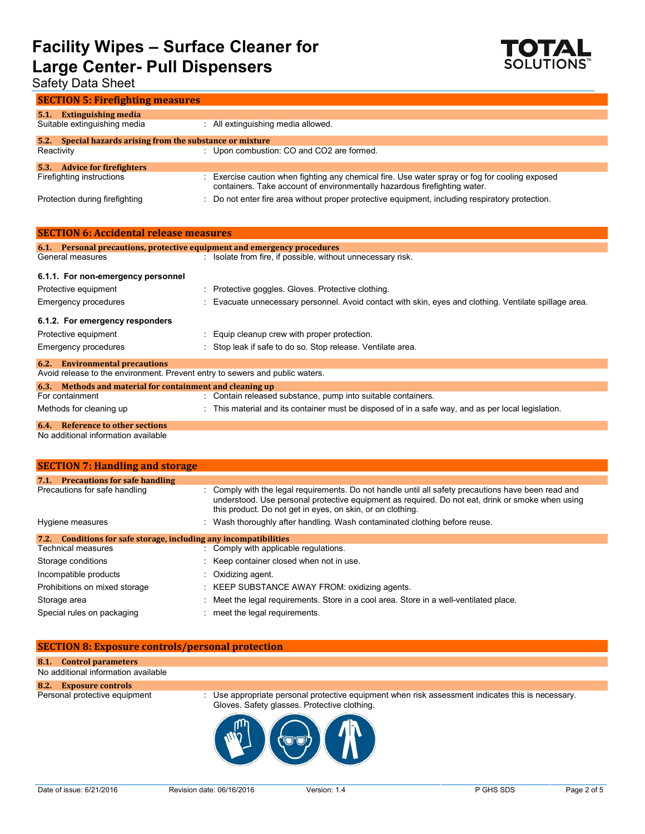

## Safety Data Sheet

| <b>SECTION 5: Firefighting measures</b>                           |                                                                                                                                                                           |
|-------------------------------------------------------------------|---------------------------------------------------------------------------------------------------------------------------------------------------------------------------|
| <b>Extinguishing media</b><br>5.1<br>Suitable extinguishing media | : All extinguishing media allowed.                                                                                                                                        |
| 5.2. Special hazards arising from the substance or mixture        |                                                                                                                                                                           |
| Reactivity                                                        | : Upon combustion: CO and CO2 are formed.                                                                                                                                 |
| <b>Advice for firefighters</b><br>5.3.                            |                                                                                                                                                                           |
| Firefighting instructions                                         | Exercise caution when fighting any chemical fire. Use water spray or fog for cooling exposed<br>containers. Take account of environmentally hazardous firefighting water. |
| Protection during firefighting                                    | : Do not enter fire area without proper protective equipment, including respiratory protection.                                                                           |

| <b>SECTION 6: Accidental release measures</b>             |                                                                                                        |
|-----------------------------------------------------------|--------------------------------------------------------------------------------------------------------|
|                                                           | 6.1. Personal precautions, protective equipment and emergency procedures                               |
| General measures                                          | : Isolate from fire, if possible, without unnecessary risk.                                            |
| 6.1.1. For non-emergency personnel                        |                                                                                                        |
| Protective equipment                                      | : Protective goggles. Gloves. Protective clothing.                                                     |
| <b>Emergency procedures</b>                               | : Evacuate unnecessary personnel. Avoid contact with skin, eyes and clothing. Ventilate spillage area. |
| 6.1.2. For emergency responders                           |                                                                                                        |
| Protective equipment                                      | : Equip cleanup crew with proper protection.                                                           |
| Emergency procedures                                      | : Stop leak if safe to do so. Stop release. Ventilate area.                                            |
| <b>6.2.</b> Environmental precautions                     |                                                                                                        |
|                                                           | Avoid release to the environment. Prevent entry to sewers and public waters.                           |
| 6.3. Methods and material for containment and cleaning up |                                                                                                        |
| For containment                                           | : Contain released substance, pump into suitable containers.                                           |
| Methods for cleaning up                                   | : This material and its container must be disposed of in a safe way, and as per local legislation.     |
| 6.4. Reference to other sections                          |                                                                                                        |

No additional information available

| <b>SECTION 7: Handling and storage</b>                               |  |                                                                                                                                                                                                                                                                       |
|----------------------------------------------------------------------|--|-----------------------------------------------------------------------------------------------------------------------------------------------------------------------------------------------------------------------------------------------------------------------|
| <b>Precautions for safe handling</b><br>7.1.                         |  |                                                                                                                                                                                                                                                                       |
| Precautions for safe handling                                        |  | : Comply with the legal requirements. Do not handle until all safety precautions have been read and<br>understood. Use personal protective equipment as required. Do not eat, drink or smoke when using<br>this product. Do not get in eyes, on skin, or on clothing. |
| Hygiene measures                                                     |  | : Wash thoroughly after handling. Wash contaminated clothing before reuse.                                                                                                                                                                                            |
| Conditions for safe storage, including any incompatibilities<br>7.2. |  |                                                                                                                                                                                                                                                                       |
| Technical measures                                                   |  | : Comply with applicable regulations.                                                                                                                                                                                                                                 |
| Storage conditions                                                   |  | : Keep container closed when not in use.                                                                                                                                                                                                                              |
| Incompatible products                                                |  | $\therefore$ Oxidizing agent.                                                                                                                                                                                                                                         |
| Prohibitions on mixed storage                                        |  | : KEEP SUBSTANCE AWAY FROM: oxidizing agents.                                                                                                                                                                                                                         |
| Storage area                                                         |  | : Meet the legal requirements. Store in a cool area. Store in a well-ventilated place.                                                                                                                                                                                |
| Special rules on packaging                                           |  | meet the legal requirements.                                                                                                                                                                                                                                          |

### **SECTION 8: Exposure controls/personal protection**

### **8.1. Control parameters**

No additional information available

**8.2. Exposure controls**

Personal protective equipment : Use appropriate personal protective equipment when risk assessment indicates this is necessary. Gloves. Safety glasses. Protective clothing.

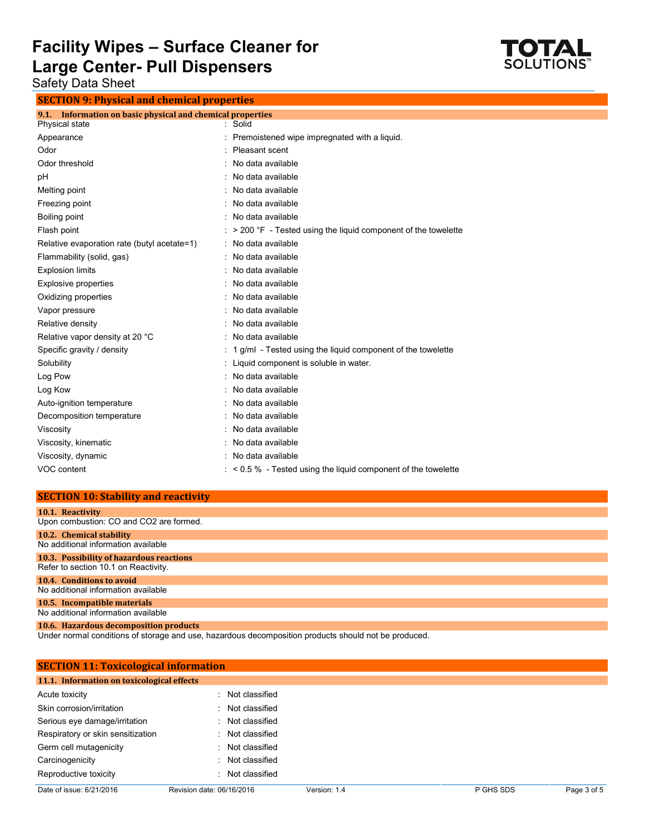

Safety Data Sheet

**SECTION 9: Physical and chemical properties**

| Information on basic physical and chemical properties<br>9.1. |                                                                         |
|---------------------------------------------------------------|-------------------------------------------------------------------------|
| Physical state                                                | : Solid                                                                 |
| Appearance                                                    | Premoistened wipe impregnated with a liquid.                            |
| Odor                                                          | Pleasant scent                                                          |
| Odor threshold                                                | No data available                                                       |
| pH                                                            | No data available                                                       |
| Melting point                                                 | No data available                                                       |
| Freezing point                                                | No data available                                                       |
| Boiling point                                                 | No data available                                                       |
| Flash point                                                   | $\approx$ > 200 °F - Tested using the liquid component of the towelette |
| Relative evaporation rate (butyl acetate=1)                   | : No data available                                                     |
| Flammability (solid, gas)                                     | No data available                                                       |
| <b>Explosion limits</b>                                       | No data available                                                       |
| <b>Explosive properties</b>                                   | No data available                                                       |
| Oxidizing properties                                          | No data available                                                       |
| Vapor pressure                                                | No data available                                                       |
| Relative density                                              | No data available                                                       |
| Relative vapor density at 20 °C                               | No data available                                                       |
| Specific gravity / density                                    | 1 g/ml - Tested using the liquid component of the towelette             |
| Solubility                                                    | Liquid component is soluble in water.                                   |
| Log Pow                                                       | No data available                                                       |
| Log Kow                                                       | : No data available                                                     |
| Auto-ignition temperature                                     | No data available                                                       |
| Decomposition temperature                                     | No data available                                                       |
| Viscosity                                                     | : No data available                                                     |
| Viscosity, kinematic                                          | No data available                                                       |
| Viscosity, dynamic                                            | No data available                                                       |
| VOC content                                                   | $\approx$ < 0.5 % - Tested using the liquid component of the towelette  |

### **SECTION 10: Stability and reactivity**

| 10.1. Reactivity                         |
|------------------------------------------|
| Upon combustion: CO and CO2 are formed.  |
| 10.2. Chemical stability                 |
| No additional information available      |
| 10.3. Possibility of hazardous reactions |
| Refer to section 10.1 on Reactivity.     |
| 10.4. Conditions to avoid                |
| No additional information available      |
| 10.5. Incompatible materials             |
| No additional information available      |
| 10.6. Hazardous decomposition products   |

Under normal conditions of storage and use, hazardous decomposition products should not be produced.

| <b>SECTION 11: Toxicological information</b> |                           |              |           |             |
|----------------------------------------------|---------------------------|--------------|-----------|-------------|
| 11.1. Information on toxicological effects   |                           |              |           |             |
| Acute toxicity                               | Not classified<br>۰.      |              |           |             |
| Skin corrosion/irritation                    | : Not classified          |              |           |             |
| Serious eye damage/irritation                | Not classified<br>÷       |              |           |             |
| Respiratory or skin sensitization            | Not classified<br>۰.      |              |           |             |
| Germ cell mutagenicity                       | Not classified<br>÷       |              |           |             |
| Carcinogenicity                              | Not classified<br>÷       |              |           |             |
| Reproductive toxicity                        | Not classified<br>٠.      |              |           |             |
| Date of issue: 6/21/2016                     | Revision date: 06/16/2016 | Version: 1.4 | P GHS SDS | Page 3 of 5 |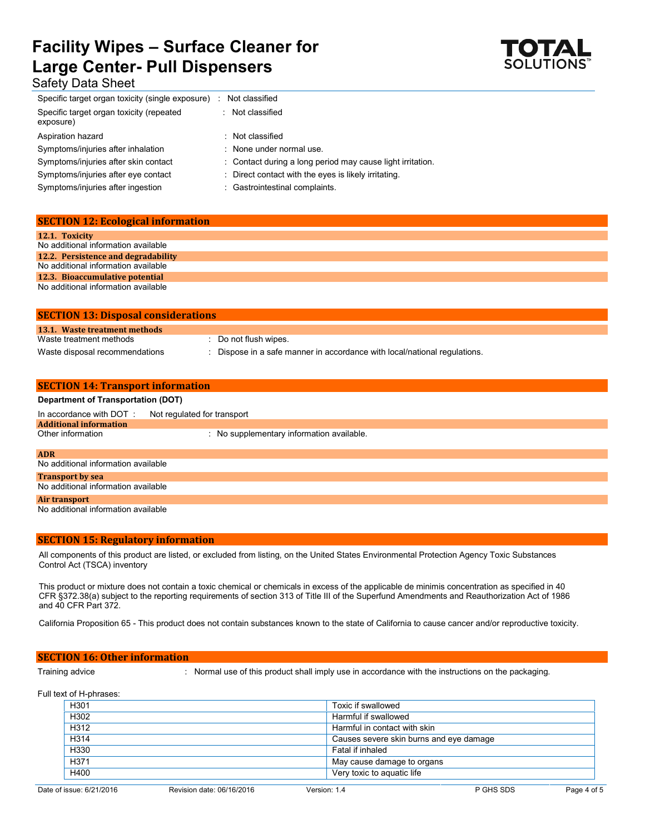## **Facility Wipes – Surface Cleaner for Large Center- Pull Dispensers** Safety Data Sheet



### Specific target organ toxicity (single exposure) : Not classified Specific target organ toxicity (repeated exposure) : Not classified

- Aspiration hazard : Not classified Symptoms/injuries after inhalation : None under normal use.
- Symptoms/injuries after skin contact : Contact during a long period may cause light irritation.
- Symptoms/injuries after eye contact : Direct contact with the eyes is likely irritating.
- Symptoms/injuries after ingestion : Gastrointestinal complaints.

### **SECTION 12: Ecological information 12.1. Toxicity** No additional information available **12.2. Persistence and degradability** No additional information available **12.3. Bioaccumulative potential** No additional information available

| <b>SECTION 13: Disposal considerations</b> |                                                                           |  |  |
|--------------------------------------------|---------------------------------------------------------------------------|--|--|
| 13.1. Waste treatment methods              |                                                                           |  |  |
| Waste treatment methods                    | : Do not flush wipes.                                                     |  |  |
| Waste disposal recommendations             | : Dispose in a safe manner in accordance with local/national regulations. |  |  |

| <b>SECTION 14: Transport information</b>  |                                           |  |  |  |
|-------------------------------------------|-------------------------------------------|--|--|--|
| <b>Department of Transportation (DOT)</b> |                                           |  |  |  |
| In accordance with DOT:                   | Not regulated for transport               |  |  |  |
| <b>Additional information</b>             |                                           |  |  |  |
| Other information                         | : No supplementary information available. |  |  |  |
|                                           |                                           |  |  |  |
| <b>ADR</b>                                |                                           |  |  |  |
| No additional information available       |                                           |  |  |  |
| <b>Transport by sea</b>                   |                                           |  |  |  |
| No additional information available       |                                           |  |  |  |
| Air transport                             |                                           |  |  |  |
| No additional information available       |                                           |  |  |  |

### **SECTION 15: Regulatory information**

All components of this product are listed, or excluded from listing, on the United States Environmental Protection Agency Toxic Substances Control Act (TSCA) inventory

This product or mixture does not contain a toxic chemical or chemicals in excess of the applicable de minimis concentration as specified in 40 CFR §372.38(a) subject to the reporting requirements of section 313 of Title III of the Superfund Amendments and Reauthorization Act of 1986 and 40 CFR Part 372.

California Proposition 65 - This product does not contain substances known to the state of California to cause cancer and/or reproductive toxicity.

### **SECTION 16: Other information**

Training advice : Normal use of this product shall imply use in accordance with the instructions on the packaging.

Full text of H-phrases:

| H301 | Toxic if swallowed                      |
|------|-----------------------------------------|
| H302 | Harmful if swallowed                    |
| H312 | Harmful in contact with skin            |
| H314 | Causes severe skin burns and eye damage |
| H330 | Fatal if inhaled                        |
| H371 | May cause damage to organs              |
| H400 | Very toxic to aquatic life              |